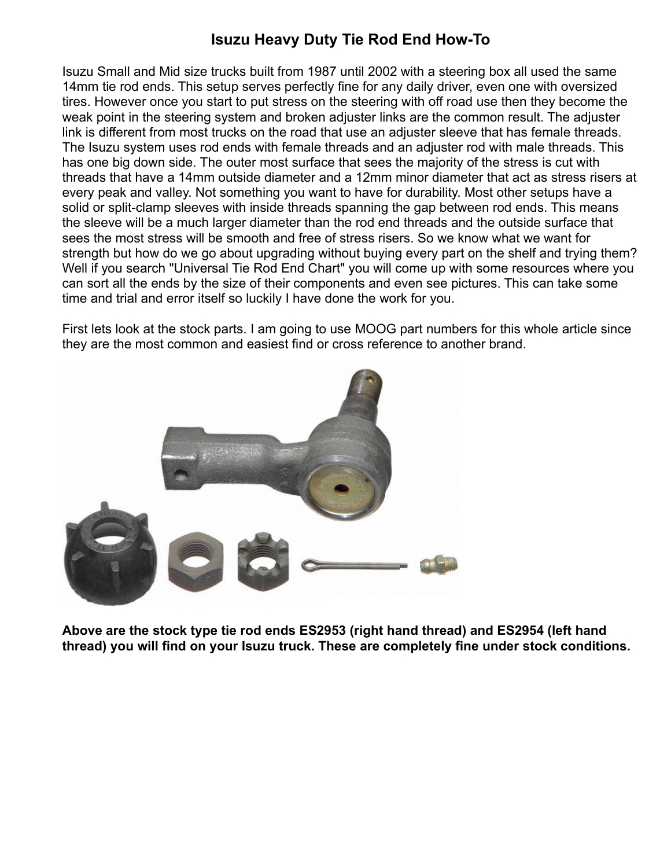## **Isuzu Heavy Duty Tie Rod End How-To**

Isuzu Small and Mid size trucks built from 1987 until 2002 with a steering box all used the same 14mm tie rod ends. This setup serves perfectly fine for any daily driver, even one with oversized tires. However once you start to put stress on the steering with off road use then they become the weak point in the steering system and broken adjuster links are the common result. The adjuster link is different from most trucks on the road that use an adjuster sleeve that has female threads. The Isuzu system uses rod ends with female threads and an adjuster rod with male threads. This has one big down side. The outer most surface that sees the majority of the stress is cut with threads that have a 14mm outside diameter and a 12mm minor diameter that act as stress risers at every peak and valley. Not something you want to have for durability. Most other setups have a solid or split-clamp sleeves with inside threads spanning the gap between rod ends. This means the sleeve will be a much larger diameter than the rod end threads and the outside surface that sees the most stress will be smooth and free of stress risers. So we know what we want for strength but how do we go about upgrading without buying every part on the shelf and trying them? Well if you search "Universal Tie Rod End Chart" you will come up with some resources where you can sort all the ends by the size of their components and even see pictures. This can take some time and trial and error itself so luckily I have done the work for you.

First lets look at the stock parts. I am going to use MOOG part numbers for this whole article since they are the most common and easiest find or cross reference to another brand.



**Above are the stock type tie rod ends ES2953 (right hand thread) and ES2954 (left hand thread) you will find on your Isuzu truck. These are completely fine under stock conditions.**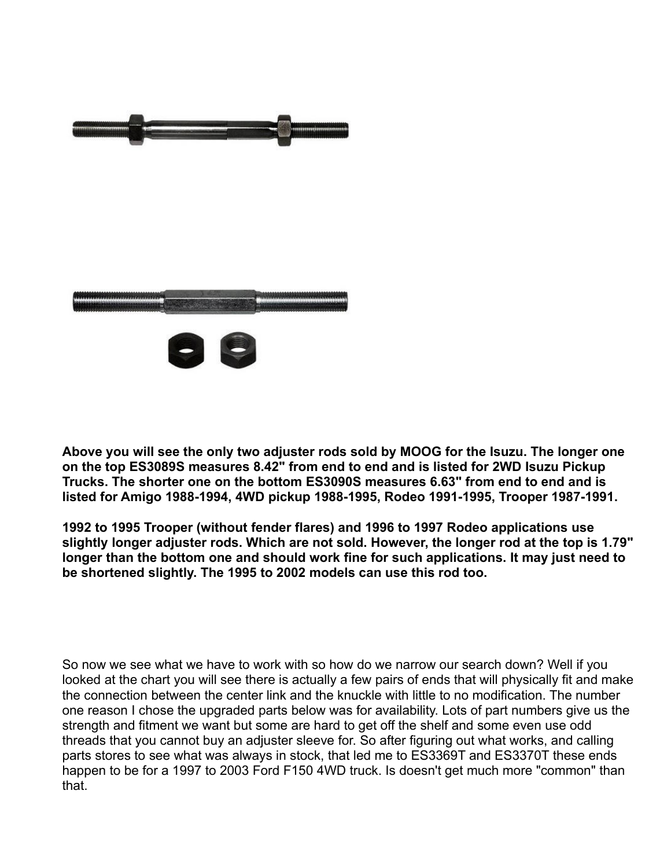

**Above you will see the only two adjuster rods sold by MOOG for the Isuzu. The longer one on the top ES3089S measures 8.42" from end to end and is listed for 2WD Isuzu Pickup Trucks. The shorter one on the bottom ES3090S measures 6.63" from end to end and is listed for Amigo 1988-1994, 4WD pickup 1988-1995, Rodeo 1991-1995, Trooper 1987-1991.**

**1992 to 1995 Trooper (without fender flares) and 1996 to 1997 Rodeo applications use slightly longer adjuster rods. Which are not sold. However, the longer rod at the top is 1.79" longer than the bottom one and should work fine for such applications. It may just need to be shortened slightly. The 1995 to 2002 models can use this rod too.** 

So now we see what we have to work with so how do we narrow our search down? Well if you looked at the chart you will see there is actually a few pairs of ends that will physically fit and make the connection between the center link and the knuckle with little to no modification. The number one reason I chose the upgraded parts below was for availability. Lots of part numbers give us the strength and fitment we want but some are hard to get off the shelf and some even use odd threads that you cannot buy an adjuster sleeve for. So after figuring out what works, and calling parts stores to see what was always in stock, that led me to ES3369T and ES3370T these ends happen to be for a 1997 to 2003 Ford F150 4WD truck. Is doesn't get much more "common" than that.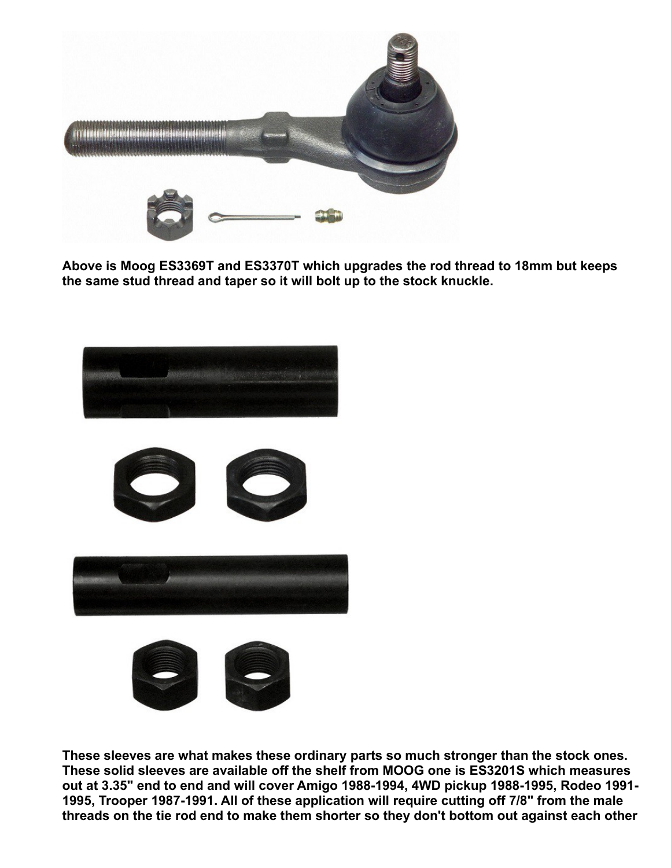

**Above is Moog ES3369T and ES3370T which upgrades the rod thread to 18mm but keeps the same stud thread and taper so it will bolt up to the stock knuckle.**



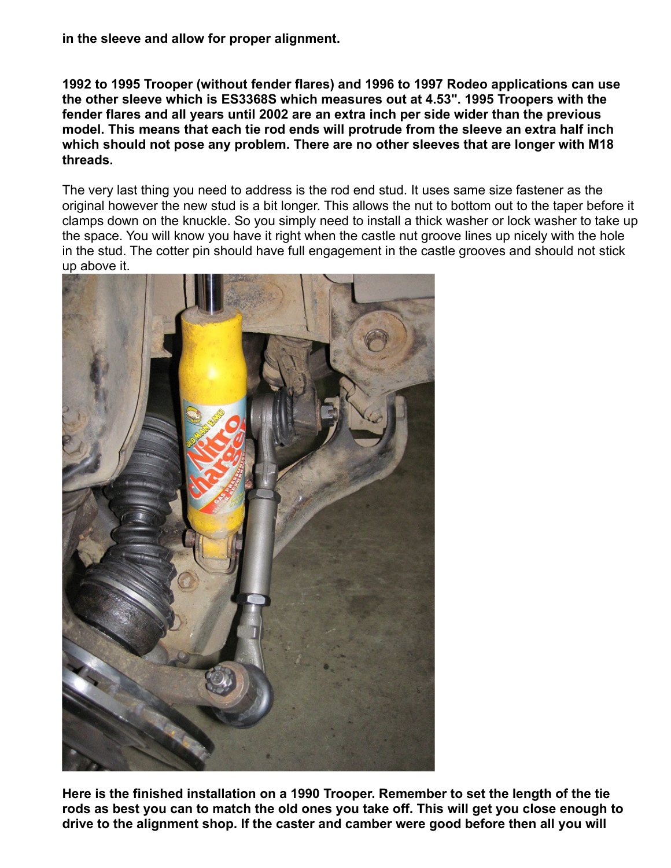**in the sleeve and allow for proper alignment.**

**1992 to 1995 Trooper (without fender flares) and 1996 to 1997 Rodeo applications can use the other sleeve which is ES3368S which measures out at 4.53". 1995 Troopers with the fender flares and all years until 2002 are an extra inch per side wider than the previous model. This means that each tie rod ends will protrude from the sleeve an extra half inch which should not pose any problem. There are no other sleeves that are longer with M18 threads.** 

The very last thing you need to address is the rod end stud. It uses same size fastener as the original however the new stud is a bit longer. This allows the nut to bottom out to the taper before it clamps down on the knuckle. So you simply need to install a thick washer or lock washer to take up the space. You will know you have it right when the castle nut groove lines up nicely with the hole in the stud. The cotter pin should have full engagement in the castle grooves and should not stick up above it.



**Here is the finished installation on a 1990 Trooper. Remember to set the length of the tie rods as best you can to match the old ones you take off. This will get you close enough to drive to the alignment shop. If the caster and camber were good before then all you will**